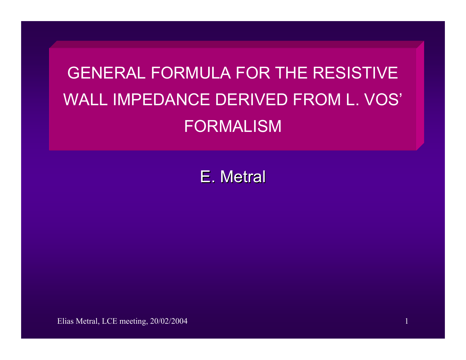# GENERAL FORMULA FOR THE RESISTIVEWALL IMPEDANCE DERIVED FROM L. VOS' FORMALISM

E. Metral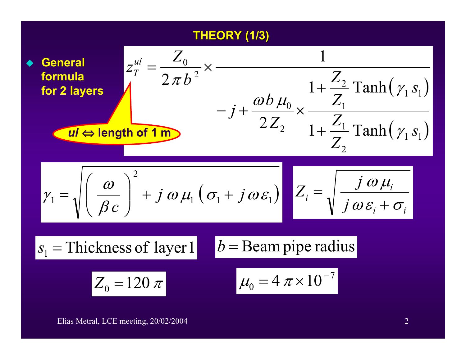## **THEORY (1/3) THEORY (1/3)**

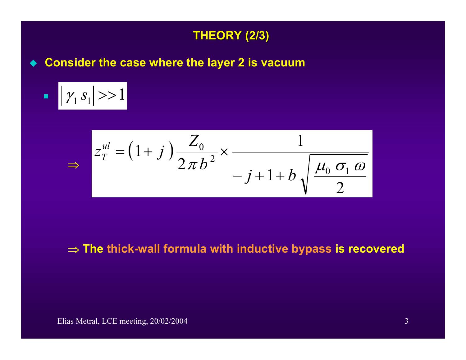

**Consider the case where the layer 2 is vacuum**

**Contract Contract Contract Contract Contract Contract Contract Contract Contract Contract Contract Contract Co**  $\blacksquare$   $|\gamma_1 s_1| >> 1$ 

⇒

$$
z_T^{ul} = (1+j)\frac{Z_0}{2\pi b^2} \times \frac{1}{-j+1+b\sqrt{\frac{\mu_0 \sigma_1 \omega}{2}}}
$$

### ⇒ **The thick-wall formula with inductive bypass is recovered**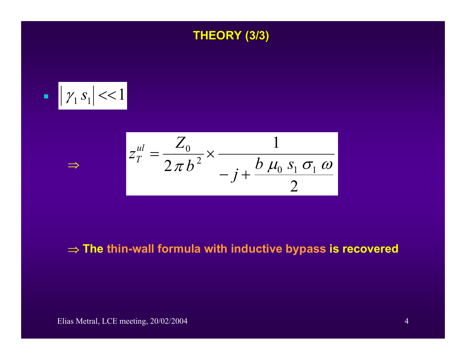



⇒

$$
z_T^{ul} = \frac{Z_0}{2\pi b^2} \times \frac{1}{-j + \frac{b \mu_0 s_1 \sigma_1 \omega}{2}}
$$

### ⇒ **The thin-wall formula with inductive bypass is recovered**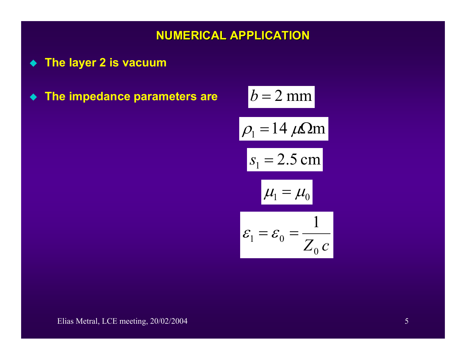## **NUMERICAL APPLICATION NUMERICAL APPLICATION**

- **The layer 2 is vacuum**
- $\bullet$  The impedance parameters are  $b=2\;\mathrm{mm}$

$$
b = 2 \text{ mm}
$$
\n
$$
\rho_1 = 14 \ \mu\Omega \text{ m}
$$
\n
$$
s_1 = 2.5 \text{ cm}
$$
\n
$$
\mu_1 = \mu_0
$$
\n
$$
\varepsilon_1 = \varepsilon_0 = \frac{1}{Z_0 c}
$$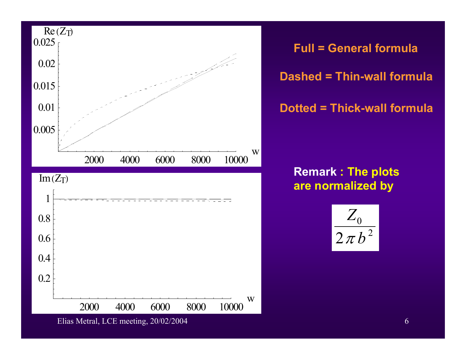

**Full = General formula Dashed = Thin-wall formula Dotted = Thick-wall formula**

**Remark : The plots are normalized by** 

$$
\frac{Z_0}{2\pi b^2}
$$

Elias Metral, LCE meeting, 20/02/2004 6

4000 6000 8000 10000

2000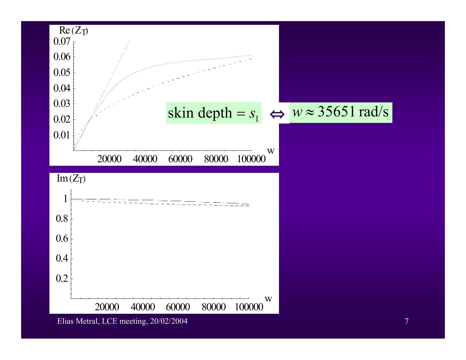

Elias Metral, LCE meeting, 20/02/2004 7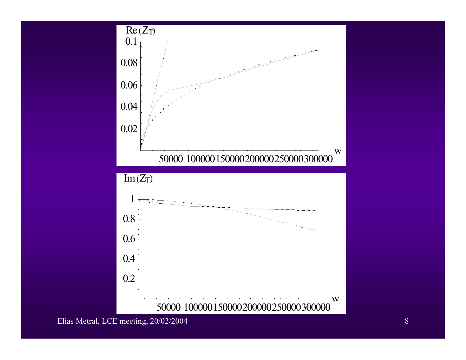

Elias Metral, LCE meeting, 20/02/2004 8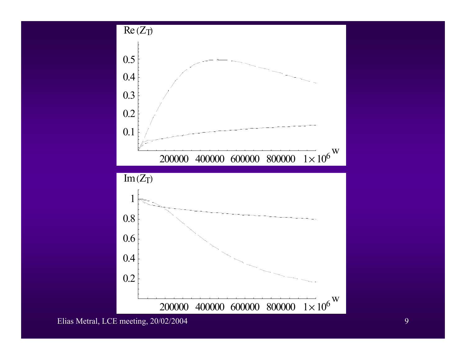

Elias Metral, LCE meeting, 20/02/2004 9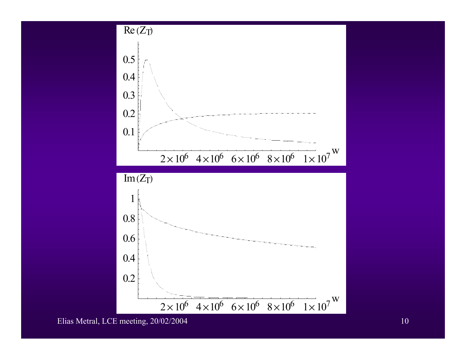

Elias Metral, LCE meeting, 20/02/2004 10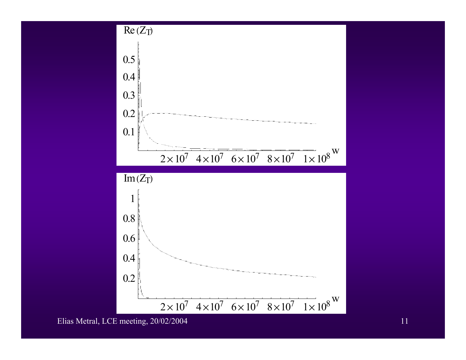

Elias Metral, LCE meeting, 20/02/2004 11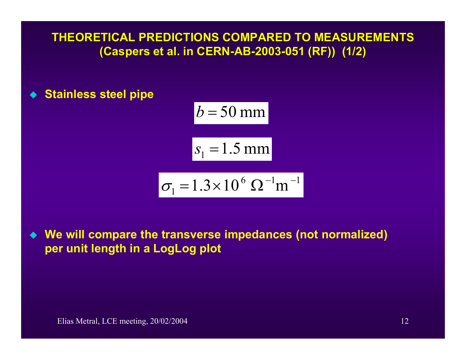THEORETICAL PREDICTIONS COMPARED TO MEASUREMENTS **(Caspers Caspers et al. in CER et al. in CERN-AB-2003-051 (RF)) (1/2) 051 (RF)) (1/2)**

**Stainless steel pipe**

$$
b = 50 \text{ mm}
$$
  

$$
s_1 = 1.5 \text{ mm}
$$
  

$$
\sigma_1 = 1.3 \times 10^6 \Omega^{-1} \text{m}^{-1}
$$

 **We will compare the transverse impedances (not normalized) per unit length in a LogLog plot**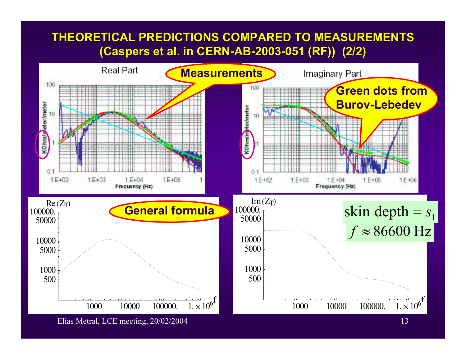# THEORETICAL PREDICTIONS COMPARED TO MEASUREMENTS **(Caspers et al. in CERN-AB-2003-051 (RF)) (2/2)**



Elias Metral, LCE meeting, 20/02/2004 13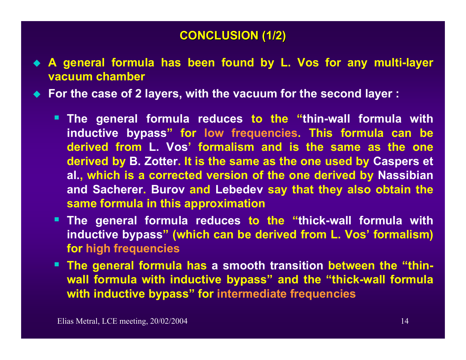# **CONCLUSION (1/2) CONCLUSION (1/2)**

- **A general formula has been found by L. Vos for any multi-layer vacuum chamber**
- **For the case of 2 layers, with the vacuum for the second layer :**
	- **The general formula reduces to the "thin-wall formula with inductive bypass" for low frequencies. This formula can be derived from L. Vos' formalism and is the same as the one derived by B. Zotter. It is the same as the one used by Caspers et al., which is a corrected version of the one derived by Nassibian and Sacherer. Burov and Lebedev say that they also obtain the same formula in this approximation**
	- **The general formula reduces to the "thick-wall formula with inductive bypass" (which can be derived from L. Vos' formalism) for high frequencies**
	- **The general formula has a smooth transition between the "thinwall formula with inductive bypass" and the "thick-wall formula with inductive bypass" for intermediate frequencies**